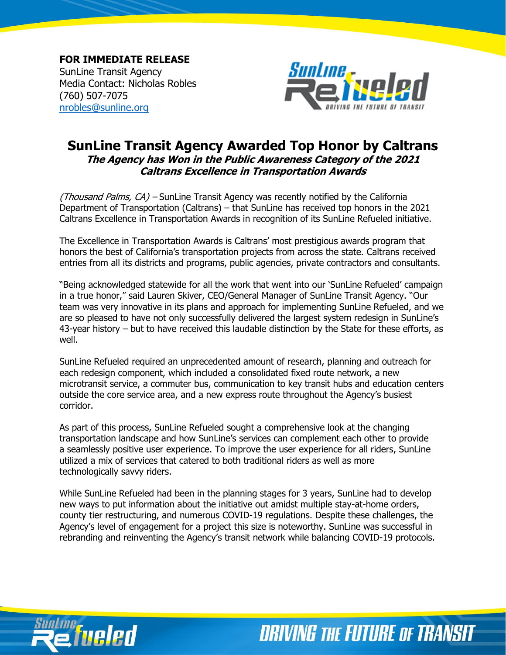**FOR IMMEDIATE RELEASE** SunLine Transit Agency Media Contact: Nicholas Robles (760) 507-7075 [nrobles@sunline.org](mailto:nrobles@sunline.org)



## **SunLine Transit Agency Awarded Top Honor by Caltrans The Agency has Won in the Public Awareness Category of the 2021 Caltrans Excellence in Transportation Awards**

(Thousand Palms, CA) – SunLine Transit Agency was recently notified by the California Department of Transportation (Caltrans) – that SunLine has received top honors in the 2021 Caltrans Excellence in Transportation Awards in recognition of its SunLine Refueled initiative.

The Excellence in Transportation Awards is Caltrans' most prestigious awards program that honors the best of California's transportation projects from across the state. Caltrans received entries from all its districts and programs, public agencies, private contractors and consultants.

"Being acknowledged statewide for all the work that went into our 'SunLine Refueled' campaign in a true honor," said Lauren Skiver, CEO/General Manager of SunLine Transit Agency. "Our team was very innovative in its plans and approach for implementing SunLine Refueled, and we are so pleased to have not only successfully delivered the largest system redesign in SunLine's 43-year history – but to have received this laudable distinction by the State for these efforts, as well.

SunLine Refueled required an unprecedented amount of research, planning and outreach for each redesign component, which included a consolidated fixed route network, a new microtransit service, a commuter bus, communication to key transit hubs and education centers outside the core service area, and a new express route throughout the Agency's busiest corridor.

As part of this process, SunLine Refueled sought a comprehensive look at the changing transportation landscape and how SunLine's services can complement each other to provide a seamlessly positive user experience. To improve the user experience for all riders, SunLine utilized a mix of services that catered to both traditional riders as well as more technologically savvy riders.

While SunLine Refueled had been in the planning stages for 3 years, SunLine had to develop new ways to put information about the initiative out amidst multiple stay-at-home orders, county tier restructuring, and numerous COVID-19 regulations. Despite these challenges, the Agency's level of engagement for a project this size is noteworthy. SunLine was successful in rebranding and reinventing the Agency's transit network while balancing COVID-19 protocols.



**DRIVING THE FUTURE OF TRANSIT**